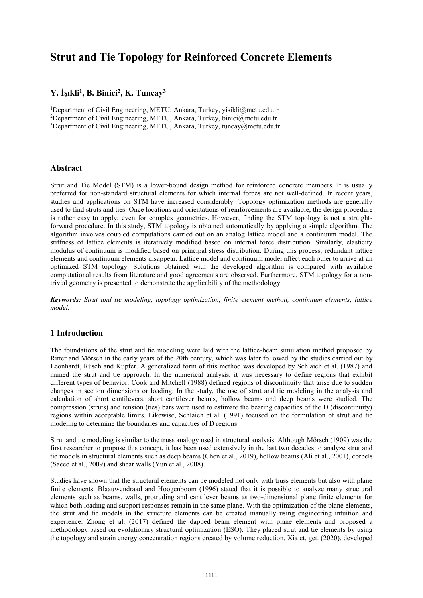# **Strut and Tie Topology for Reinforced Concrete Elements**

## **Y. İşıkli<sup>1</sup> , B. Binici<sup>2</sup> , K. Tuncay<sup>3</sup>**

<sup>1</sup>Department of Civil Engineering, METU, Ankara, Turkey, yisikli@metu.edu.tr <sup>2</sup>Department of Civil Engineering, METU, Ankara, Turkey, binici@metu.edu.tr <sup>3</sup>Department of Civil Engineering, METU, Ankara, Turkey, tuncay@metu.edu.tr

#### **Abstract**

Strut and Tie Model (STM) is a lower-bound design method for reinforced concrete members. It is usually preferred for non-standard structural elements for which internal forces are not well-defined. In recent years, studies and applications on STM have increased considerably. Topology optimization methods are generally used to find struts and ties. Once locations and orientations of reinforcements are available, the design procedure is rather easy to apply, even for complex geometries. However, finding the STM topology is not a straightforward procedure. In this study, STM topology is obtained automatically by applying a simple algorithm. The algorithm involves coupled computations carried out on an analog lattice model and a continuum model. The stiffness of lattice elements is iteratively modified based on internal force distribution. Similarly, elasticity modulus of continuum is modified based on principal stress distribution. During this process, redundant lattice elements and continuum elements disappear. Lattice model and continuum model affect each other to arrive at an optimized STM topology. Solutions obtained with the developed algorithm is compared with available computational results from literature and good agreements are observed. Furthermore, STM topology for a nontrivial geometry is presented to demonstrate the applicability of the methodology.

*Keywords: Strut and tie modeling, topology optimization, finite element method, continuum elements, lattice model.*

### **1 Introduction**

The foundations of the strut and tie modeling were laid with the lattice-beam simulation method proposed by Ritter and Mörsch in the early years of the 20th century, which was later followed by the studies carried out by Leonhardt, Rüsch and Kupfer. A generalized form of this method was developed by Schlaich et al. (1987) and named the strut and tie approach. In the numerical analysis, it was necessary to define regions that exhibit different types of behavior. Cook and Mitchell (1988) defined regions of discontinuity that arise due to sudden changes in section dimensions or loading. In the study, the use of strut and tie modeling in the analysis and calculation of short cantilevers, short cantilever beams, hollow beams and deep beams were studied. The compression (struts) and tension (ties) bars were used to estimate the bearing capacities of the D (discontinuity) regions within acceptable limits. Likewise, Schlaich et al. (1991) focused on the formulation of strut and tie modeling to determine the boundaries and capacities of D regions.

Strut and tie modeling is similar to the truss analogy used in structural analysis. Although Mörsch (1909) was the first researcher to propose this concept, it has been used extensively in the last two decades to analyze strut and tie models in structural elements such as deep beams (Chen et al., 2019), hollow beams (Ali et al., 2001), corbels (Saeed et al., 2009) and shear walls (Yun et al., 2008).

Studies have shown that the structural elements can be modeled not only with truss elements but also with plane finite elements. Blaauwendraad and Hoogenboom (1996) stated that it is possible to analyze many structural elements such as beams, walls, protruding and cantilever beams as two-dimensional plane finite elements for which both loading and support responses remain in the same plane. With the optimization of the plane elements, the strut and tie models in the structure elements can be created manually using engineering intuition and experience. Zhong et al. (2017) defined the dapped beam element with plane elements and proposed a methodology based on evolutionary structural optimization (ESO). They placed strut and tie elements by using the topology and strain energy concentration regions created by volume reduction. Xia et. get. (2020), developed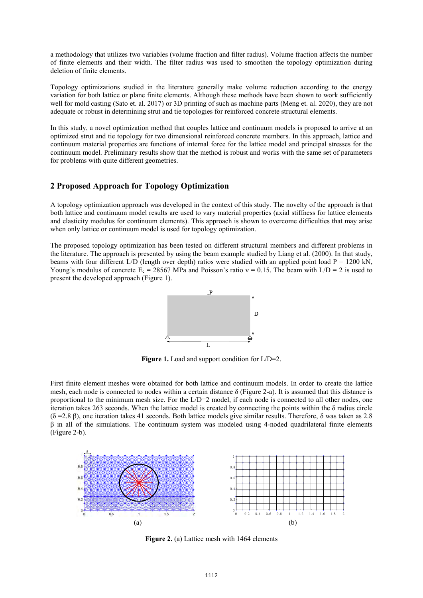a methodology that utilizes two variables (volume fraction and filter radius). Volume fraction affects the number of finite elements and their width. The filter radius was used to smoothen the topology optimization during deletion of finite elements.

Topology optimizations studied in the literature generally make volume reduction according to the energy variation for both lattice or plane finite elements. Although these methods have been shown to work sufficiently well for mold casting (Sato et. al. 2017) or 3D printing of such as machine parts (Meng et. al. 2020), they are not adequate or robust in determining strut and tie topologies for reinforced concrete structural elements.

In this study, a novel optimization method that couples lattice and continuum models is proposed to arrive at an optimized strut and tie topology for two dimensional reinforced concrete members. In this approach, lattice and continuum material properties are functions of internal force for the lattice model and principal stresses for the continuum model. Preliminary results show that the method is robust and works with the same set of parameters for problems with quite different geometries.

#### **2 Proposed Approach for Topology Optimization**

A topology optimization approach was developed in the context of this study. The novelty of the approach is that both lattice and continuum model results are used to vary material properties (axial stiffness for lattice elements and elasticity modulus for continuum elements). This approach is shown to overcome difficulties that may arise when only lattice or continuum model is used for topology optimization.

The proposed topology optimization has been tested on different structural members and different problems in the literature. The approach is presented by using the beam example studied by Liang et al. (2000). In that study, beams with four different L/D (length over depth) ratios were studied with an applied point load  $P = 1200$  kN, Young's modulus of concrete  $E_c = 28567$  MPa and Poisson's ratio  $v = 0.15$ . The beam with  $L/D = 2$  is used to present the developed approach (Figure 1).



Figure 1. Load and support condition for L/D=2.

First finite element meshes were obtained for both lattice and continuum models. In order to create the lattice mesh, each node is connected to nodes within a certain distance  $\delta$  (Figure 2-a). It is assumed that this distance is proportional to the minimum mesh size. For the L/D=2 model, if each node is connected to all other nodes, one iteration takes 263 seconds. When the lattice model is created by connecting the points within the  $\delta$  radius circle (δ =2.8 β), one iteration takes 41 seconds. Both lattice models give similar results. Therefore, δ was taken as 2.8 β in all of the simulations. The continuum system was modeled using 4-noded quadrilateral finite elements (Figure 2-b).



**Figure 2.** (a) Lattice mesh with 1464 elements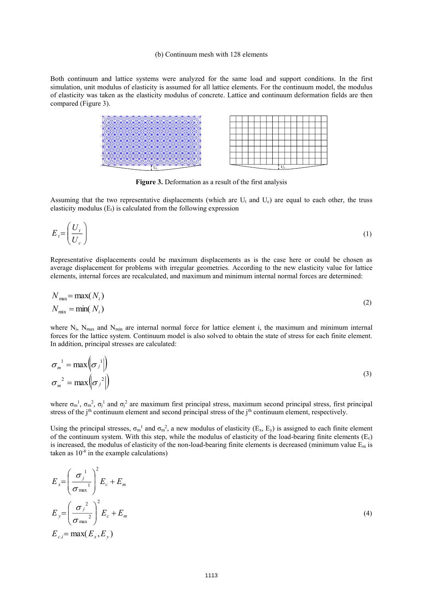#### (b) Continuum mesh with 128 elements

Both continuum and lattice systems were analyzed for the same load and support conditions. In the first simulation, unit modulus of elasticity is assumed for all lattice elements. For the continuum model, the modulus of elasticity was taken as the elasticity modulus of concrete. Lattice and continuum deformation fields are then compared (Figure 3).

**Figure 3.** Deformation as a result of the first analysis

Assuming that the two representative displacements (which are  $U_t$  and  $U_c$ ) are equal to each other, the truss elasticity modulus  $(E_t)$  is calculated from the following expression

$$
E_t = \left(\frac{U_t}{U_c}\right) \tag{1}
$$

Representative displacements could be maximum displacements as is the case here or could be chosen as average displacement for problems with irregular geometries. According to the new elasticity value for lattice elements, internal forces are recalculated, and maximum and minimum internal normal forces are determined:

$$
N_{\text{max}} = \max(N_i)
$$
  
\n
$$
N_{\text{min}} = \min(N_i)
$$
\n(2)

where  $N_i$ ,  $N_{max}$  and  $N_{min}$  are internal normal force for lattice element i, the maximum and minimum internal forces for the lattice system. Continuum model is also solved to obtain the state of stress for each finite element. In addition, principal stresses are calculated:

$$
\sigma_m^{-1} = \max \left( \sigma_j^{-1} \middle| \right) \n\sigma_m^{-2} = \max \left( \sigma_j^{-2} \middle| \right)
$$
\n(3)

where  $\sigma_m$ <sup>1</sup>,  $\sigma_m$ <sup>2</sup>,  $\sigma_j$ <sup>1</sup> and  $\sigma_j$ <sup>2</sup> are maximum first principal stress, maximum second principal stress, first principal stress of the j<sup>th</sup> continuum element and second principal stress of the j<sup>th</sup> continuum element, respectively.

Using the principal stresses,  $\sigma_m^{-1}$  and  $\sigma_m^{-2}$ , a new modulus of elasticity (E<sub>x</sub>, E<sub>y</sub>) is assigned to each finite element of the continuum system. With this step, while the modulus of elasticity of the load-bearing finite elements  $(E_c)$ is increased, the modulus of elasticity of the non-load-bearing finite elements is decreased (minimum value  $E_m$  is taken as  $10^{-6}$  in the example calculations)

$$
E_x = \left(\frac{\sigma_j^1}{\sigma_{\text{max}}^1}\right)^2 E_c + E_m
$$
  
\n
$$
E_y = \left(\frac{\sigma_j^2}{\sigma_{\text{max}}^2}\right)^2 E_c + E_m
$$
  
\n
$$
E_{c,i} = \max(E_x, E_y)
$$
\n(4)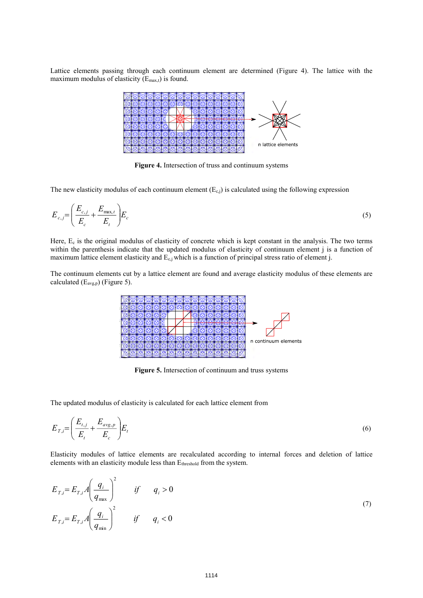Lattice elements passing through each continuum element are determined (Figure 4). The lattice with the maximum modulus of elasticity  $(E_{\text{max,t}})$  is found.



**Figure 4.** Intersection of truss and continuum systems

The new elasticity modulus of each continuum element  $(E_{c,j})$  is calculated using the following expression

$$
E_{c,j} = \left(\frac{E_{c,j}}{E_c} + \frac{E_{\text{max},t}}{E_t}\right) E_c
$$
\n<sup>(5)</sup>

Here,  $E_c$  is the original modulus of elasticity of concrete which is kept constant in the analysis. The two terms within the parenthesis indicate that the updated modulus of elasticity of continuum element j is a function of maximum lattice element elasticity and  $E_{c,j}$  which is a function of principal stress ratio of element j.

The continuum elements cut by a lattice element are found and average elasticity modulus of these elements are calculated  $(E_{\text{avg,p}})$  (Figure 5).



**Figure 5.** Intersection of continuum and truss systems

The updated modulus of elasticity is calculated for each lattice element from

$$
E_{T,i} = \left(\frac{E_{t,j}}{E_t} + \frac{E_{avg,p}}{E_c}\right) E_t
$$
\n
$$
(6)
$$

Elasticity modules of lattice elements are recalculated according to internal forces and deletion of lattice elements with an elasticity module less than E<sub>threshold</sub> from the system.

$$
E_{T,i} = E_{T,i} A \left( \frac{q_i}{q_{\text{max}}} \right)^2 \qquad \text{if} \qquad q_i > 0
$$
\n
$$
E_{T,i} = E_{T,i} A \left( \frac{q_i}{q_{\text{min}}} \right)^2 \qquad \text{if} \qquad q_i < 0 \tag{7}
$$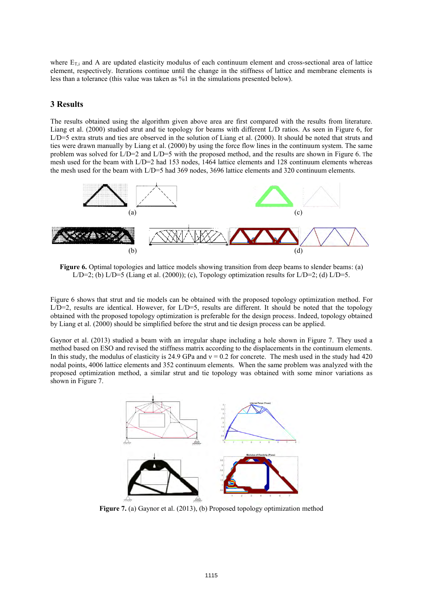where  $E_{T,i}$  and A are updated elasticity modulus of each continuum element and cross-sectional area of lattice element, respectively. Iterations continue until the change in the stiffness of lattice and membrane elements is less than a tolerance (this value was taken as %1 in the simulations presented below).

#### **3 Results**

The results obtained using the algorithm given above area are first compared with the results from literature. Liang et al. (2000) studied strut and tie topology for beams with different L/D ratios. As seen in Figure 6, for L/D=5 extra struts and ties are observed in the solution of Liang et al. (2000). It should be noted that struts and ties were drawn manually by Liang et al. (2000) by using the force flow lines in the continuum system. The same problem was solved for L/D=2 and L/D=5 with the proposed method, and the results are shown in Figure 6. The mesh used for the beam with L/D=2 had 153 nodes, 1464 lattice elements and 128 continuum elements whereas the mesh used for the beam with L/D=5 had 369 nodes, 3696 lattice elements and 320 continuum elements.



**Figure 6.** Optimal topologies and lattice models showing transition from deep beams to slender beams: (a)  $L/D=2$ ; (b)  $L/D=5$  (Liang et al. (2000)); (c), Topology optimization results for  $L/D=2$ ; (d)  $L/D=5$ .

Figure 6 shows that strut and tie models can be obtained with the proposed topology optimization method. For L/D=2, results are identical. However, for L/D=5, results are different. It should be noted that the topology obtained with the proposed topology optimization is preferable for the design process. Indeed, topology obtained by Liang et al. (2000) should be simplified before the strut and tie design process can be applied.

Gaynor et al. (2013) studied a beam with an irregular shape including a hole shown in Figure 7. They used a method based on ESO and revised the stiffness matrix according to the displacements in the continuum elements. In this study, the modulus of elasticity is 24.9 GPa and  $v = 0.2$  for concrete. The mesh used in the study had 420 nodal points, 4006 lattice elements and 352 continuum elements. When the same problem was analyzed with the proposed optimization method, a similar strut and tie topology was obtained with some minor variations as shown in Figure 7.



**Figure 7.** (a) Gaynor et al. (2013), (b) Proposed topology optimization method